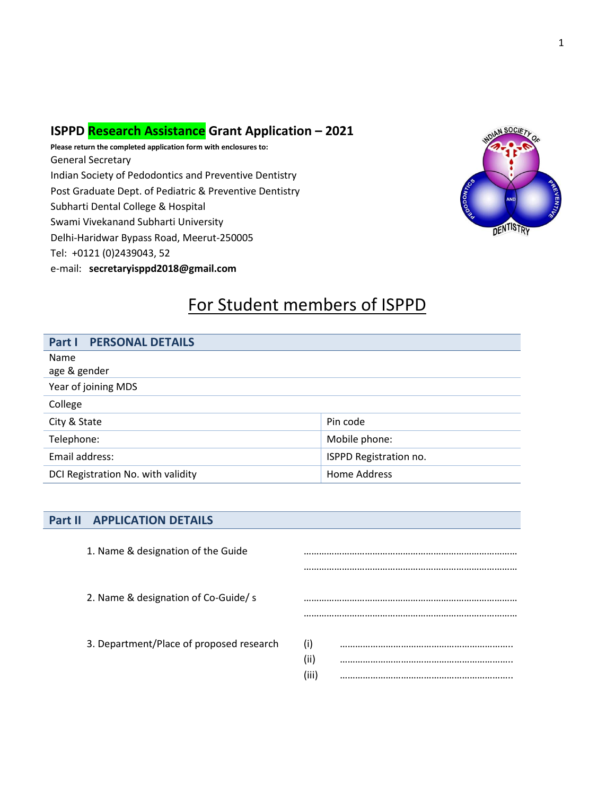### **ISPPD Research Assistance Grant Application – 2021**

**Please return the completed application form with enclosures to:** General Secretary Indian Society of Pedodontics and Preventive Dentistry Post Graduate Dept. of Pediatric & Preventive Dentistry Subharti Dental College & Hospital Swami Vivekanand Subharti University Delhi-Haridwar Bypass Road, Meerut-250005 Tel: +0121 (0)2439043, 52 e-mail: **secretaryisppd2018@gmail.com**



## For Student members of ISPPD

| <b>PERSONAL DETAILS</b><br>Part I  |                        |
|------------------------------------|------------------------|
| Name                               |                        |
| age & gender                       |                        |
| Year of joining MDS                |                        |
| College                            |                        |
| City & State                       | Pin code               |
| Telephone:                         | Mobile phone:          |
| Email address:                     | ISPPD Registration no. |
| DCI Registration No. with validity | Home Address           |

### **Part II APPLICATION DETAILS**

| 1. Name & designation of the Guide       |             |
|------------------------------------------|-------------|
|                                          |             |
| 2. Name & designation of Co-Guide/s      |             |
| 3. Department/Place of proposed research | (i)<br>(ii) |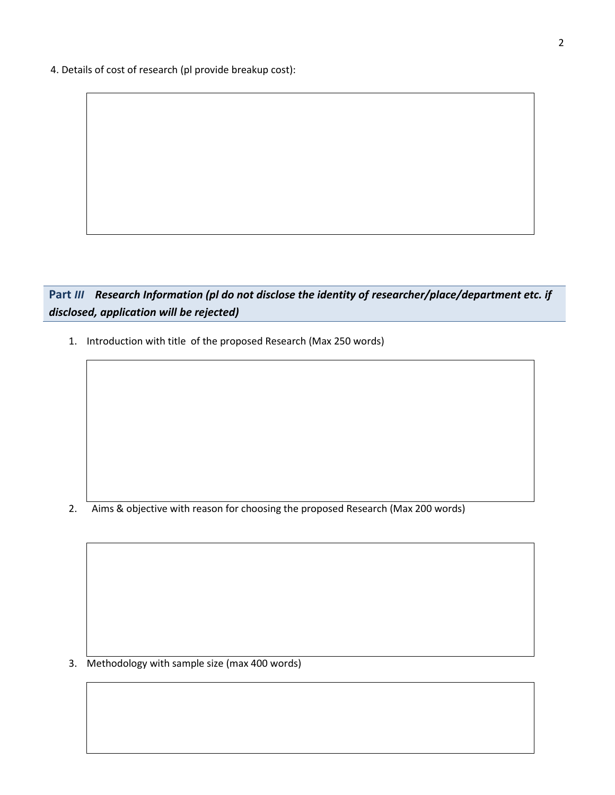4. Details of cost of research (pl provide breakup cost):

### **Part** *III Research Information (pl do not disclose the identity of researcher/place/department etc. if disclosed, application will be rejected)*

1. Introduction with title of the proposed Research (Max 250 words)

2. Aims & objective with reason for choosing the proposed Research (Max 200 words)

3. Methodology with sample size (max 400 words)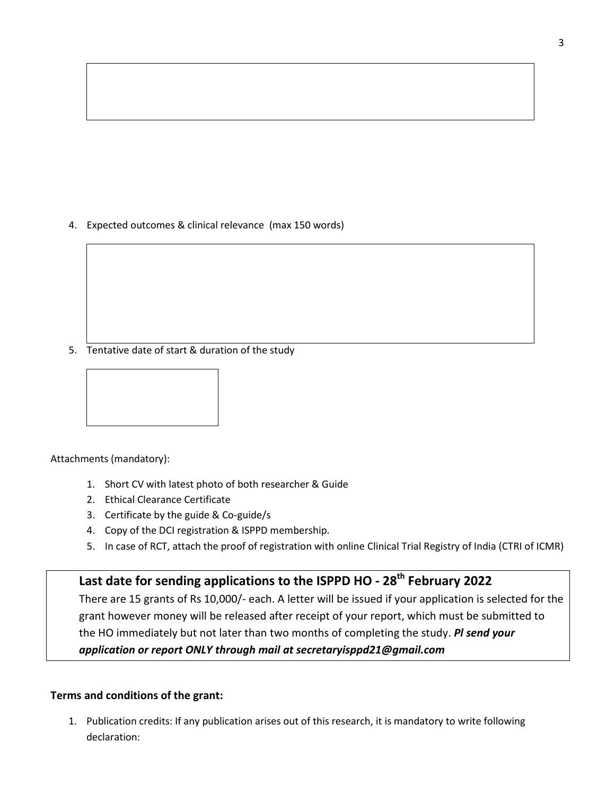4. Expected outcomes & clinical relevance (max 150 words)

5. Tentative date of start & duration of the study



Attachments (mandatory):

- 1. Short CV with latest photo of both researcher & Guide
- 2. Ethical Clearance Certificate
- 3. Certificate by the guide & Co-guide/s
- 4. Copy of the DCI registration & ISPPD membership.
- 5. In case of RCT, attach the proof of registration with online Clinical Trial Registry of India (CTRI of ICMR)

## **Last date for sending applications to the ISPPD HO - 28th February 2022**

There are 15 grants of Rs 10,000/- each. A letter will be issued if your application is selected for the grant however money will be released after receipt of your report, which must be submitted to the HO immediately but not later than two months of completing the study. *Pl send your application or report ONLY through mail at secretaryisppd21@gmail.com*

### **Terms and conditions of the grant:**

1. Publication credits: If any publication arises out of this research, it is mandatory to write following declaration: